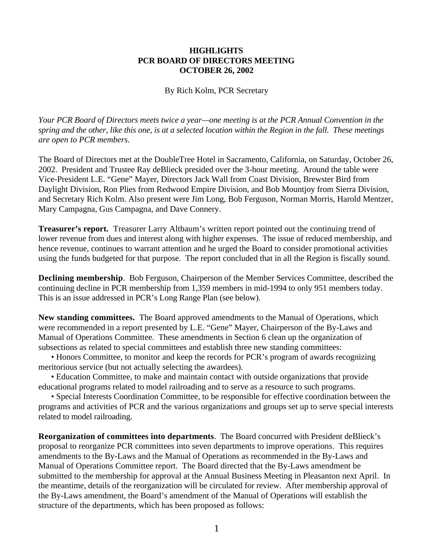## **HIGHLIGHTS PCR BOARD OF DIRECTORS MEETING OCTOBER 26, 2002**

By Rich Kolm, PCR Secretary

*Your PCR Board of Directors meets twice a year—one meeting is at the PCR Annual Convention in the spring and the other, like this one, is at a selected location within the Region in the fall. These meetings are open to PCR members.*

The Board of Directors met at the DoubleTree Hotel in Sacramento, California, on Saturday, October 26, 2002. President and Trustee Ray deBlieck presided over the 3-hour meeting. Around the table were Vice-President L.E. "Gene" Mayer, Directors Jack Wall from Coast Division, Brewster Bird from Daylight Division, Ron Plies from Redwood Empire Division, and Bob Mountjoy from Sierra Division, and Secretary Rich Kolm. Also present were Jim Long, Bob Ferguson, Norman Morris, Harold Mentzer, Mary Campagna, Gus Campagna, and Dave Connery.

**Treasurer's report.** Treasurer Larry Altbaum's written report pointed out the continuing trend of lower revenue from dues and interest along with higher expenses. The issue of reduced membership, and hence revenue, continues to warrant attention and he urged the Board to consider promotional activities using the funds budgeted for that purpose. The report concluded that in all the Region is fiscally sound.

**Declining membership**. Bob Ferguson, Chairperson of the Member Services Committee, described the continuing decline in PCR membership from 1,359 members in mid-1994 to only 951 members today. This is an issue addressed in PCR's Long Range Plan (see below).

**New standing committees.** The Board approved amendments to the Manual of Operations, which were recommended in a report presented by L.E. "Gene" Mayer, Chairperson of the By-Laws and Manual of Operations Committee. These amendments in Section 6 clean up the organization of subsections as related to special committees and establish three new standing committees:

• Honors Committee, to monitor and keep the records for PCR's program of awards recognizing meritorious service (but not actually selecting the awardees).

• Education Committee, to make and maintain contact with outside organizations that provide educational programs related to model railroading and to serve as a resource to such programs.

• Special Interests Coordination Committee, to be responsible for effective coordination between the programs and activities of PCR and the various organizations and groups set up to serve special interests related to model railroading.

**Reorganization of committees into departments**. The Board concurred with President deBlieck's proposal to reorganize PCR committees into seven departments to improve operations. This requires amendments to the By-Laws and the Manual of Operations as recommended in the By-Laws and Manual of Operations Committee report. The Board directed that the By-Laws amendment be submitted to the membership for approval at the Annual Business Meeting in Pleasanton next April. In the meantime, details of the reorganization will be circulated for review. After membership approval of the By-Laws amendment, the Board's amendment of the Manual of Operations will establish the structure of the departments, which has been proposed as follows: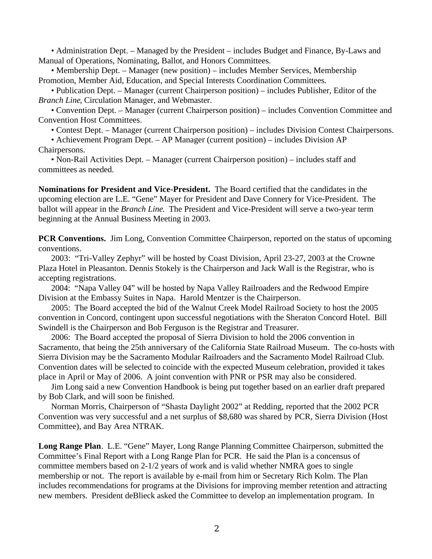• Administration Dept. – Managed by the President – includes Budget and Finance, By-Laws and Manual of Operations, Nominating, Ballot, and Honors Committees.

• Membership Dept. – Manager (new position) – includes Member Services, Membership Promotion, Member Aid, Education, and Special Interests Coordination Committees.

• Publication Dept. – Manager (current Chairperson position) – includes Publisher, Editor of the *Branch Line*, Circulation Manager, and Webmaster.

• Convention Dept. – Manager (current Chairperson position) – includes Convention Committee and Convention Host Committees.

• Contest Dept. – Manager (current Chairperson position) – includes Division Contest Chairpersons.

• Achievement Program Dept. – AP Manager (current position) – includes Division AP Chairpersons.

• Non-Rail Activities Dept. – Manager (current Chairperson position) – includes staff and committees as needed.

**Nominations for President and Vice-President.** The Board certified that the candidates in the upcoming election are L.E. "Gene" Mayer for President and Dave Connery for Vice-President. The ballot will appear in the *Branch Line*. The President and Vice-President will serve a two-year term beginning at the Annual Business Meeting in 2003.

**PCR Conventions.** Jim Long, Convention Committee Chairperson, reported on the status of upcoming conventions.

2003: "Tri-Valley Zephyr" will be hosted by Coast Division, April 23-27, 2003 at the Crowne Plaza Hotel in Pleasanton. Dennis Stokely is the Chairperson and Jack Wall is the Registrar, who is accepting registrations.

2004: "Napa Valley 04" will be hosted by Napa Valley Railroaders and the Redwood Empire Division at the Embassy Suites in Napa. Harold Mentzer is the Chairperson.

2005: The Board accepted the bid of the Walnut Creek Model Railroad Society to host the 2005 convention in Concord, contingent upon successful negotiations with the Sheraton Concord Hotel. Bill Swindell is the Chairperson and Bob Ferguson is the Registrar and Treasurer.

2006: The Board accepted the proposal of Sierra Division to hold the 2006 convention in Sacramento, that being the 25th anniversary of the California State Railroad Museum. The co-hosts with Sierra Division may be the Sacramento Modular Railroaders and the Sacramento Model Railroad Club. Convention dates will be selected to coincide with the expected Museum celebration, provided it takes place in April or May of 2006. A joint convention with PNR or PSR may also be considered.

Jim Long said a new Convention Handbook is being put together based on an earlier draft prepared by Bob Clark, and will soon be finished.

Norman Morris, Chairperson of "Shasta Daylight 2002" at Redding, reported that the 2002 PCR Convention was very successful and a net surplus of \$8,680 was shared by PCR, Sierra Division (Host Committee), and Bay Area NTRAK.

**Long Range Plan**. L.E. "Gene" Mayer, Long Range Planning Committee Chairperson, submitted the Committee's Final Report with a Long Range Plan for PCR. He said the Plan is a concensus of committee members based on 2-1/2 years of work and is valid whether NMRA goes to single membership or not. The report is available by e-mail from him or Secretary Rich Kolm. The Plan includes recommendations for programs at the Divisions for improving member retention and attracting new members. President deBlieck asked the Committee to develop an implementation program. In